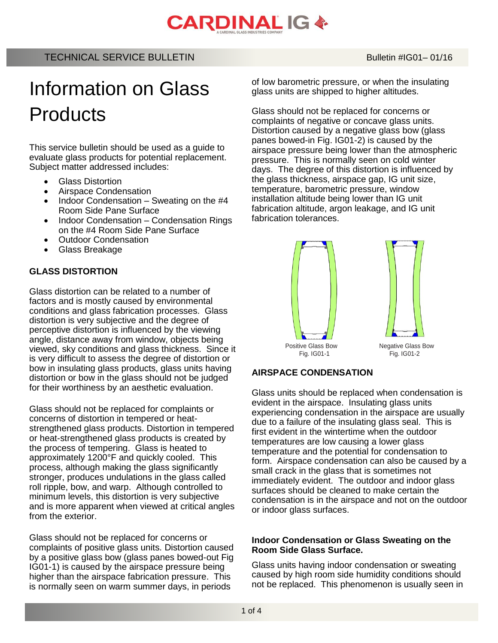# **CARDINAL IG &**

# Information on Glass **Products**

This service bulletin should be used as a guide to evaluate glass products for potential replacement. Subject matter addressed includes:

- Glass Distortion
- Airspace Condensation
- Indoor Condensation Sweating on the #4 Room Side Pane Surface
- Indoor Condensation Condensation Rings on the #4 Room Side Pane Surface
- Outdoor Condensation
- Glass Breakage

#### **GLASS DISTORTION**

Glass distortion can be related to a number of factors and is mostly caused by environmental conditions and glass fabrication processes. Glass distortion is very subjective and the degree of perceptive distortion is influenced by the viewing angle, distance away from window, objects being viewed, sky conditions and glass thickness. Since it is very difficult to assess the degree of distortion or bow in insulating glass products, glass units having distortion or bow in the glass should not be judged for their worthiness by an aesthetic evaluation.

Glass should not be replaced for complaints or concerns of distortion in tempered or heatstrengthened glass products. Distortion in tempered or heat-strengthened glass products is created by the process of tempering. Glass is heated to approximately 1200°F and quickly cooled. This process, although making the glass significantly stronger, produces undulations in the glass called roll ripple, bow, and warp. Although controlled to minimum levels, this distortion is very subjective and is more apparent when viewed at critical angles from the exterior.

Glass should not be replaced for concerns or complaints of positive glass units. Distortion caused by a positive glass bow (glass panes bowed-out Fig IG01-1) is caused by the airspace pressure being higher than the airspace fabrication pressure. This is normally seen on warm summer days, in periods

of low barometric pressure, or when the insulating glass units are shipped to higher altitudes.

Glass should not be replaced for concerns or complaints of negative or concave glass units. Distortion caused by a negative glass bow (glass panes bowed-in Fig. IG01-2) is caused by the airspace pressure being lower than the atmospheric pressure. This is normally seen on cold winter days. The degree of this distortion is influenced by the glass thickness, airspace gap, IG unit size, temperature, barometric pressure, window installation altitude being lower than IG unit fabrication altitude, argon leakage, and IG unit fabrication tolerances.



#### **AIRSPACE CONDENSATION**

Glass units should be replaced when condensation is evident in the airspace. Insulating glass units experiencing condensation in the airspace are usually due to a failure of the insulating glass seal. This is first evident in the wintertime when the outdoor temperatures are low causing a lower glass temperature and the potential for condensation to form. Airspace condensation can also be caused by a small crack in the glass that is sometimes not immediately evident. The outdoor and indoor glass surfaces should be cleaned to make certain the condensation is in the airspace and not on the outdoor or indoor glass surfaces.

#### **Indoor Condensation or Glass Sweating on the Room Side Glass Surface.**

Glass units having indoor condensation or sweating caused by high room side humidity conditions should not be replaced. This phenomenon is usually seen in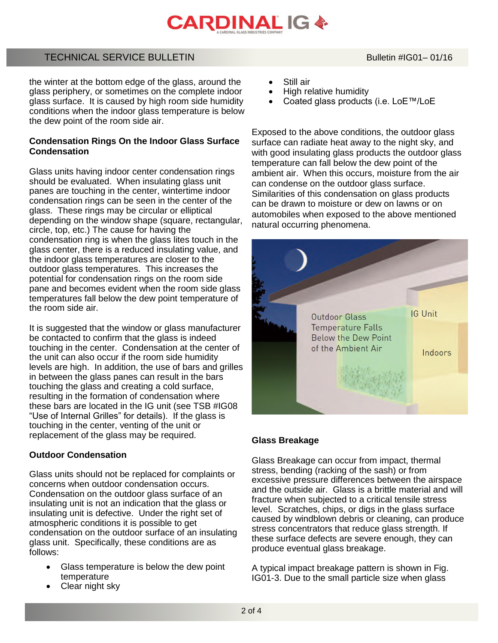# **CARDINAL IG &**

### TECHNICAL SERVICE BULLETIN BULLETIN Bulletin #IG01-01/16

 the winter at the bottom edge of the glass, around the glass periphery, or sometimes on the complete indoor glass surface. It is caused by high room side humidity conditions when the indoor glass temperature is below the dew point of the room side air.

#### **Condensation Rings On the Indoor Glass Surface Condensation**

Glass units having indoor center condensation rings should be evaluated. When insulating glass unit panes are touching in the center, wintertime indoor condensation rings can be seen in the center of the glass. These rings may be circular or elliptical depending on the window shape (square, rectangular, circle, top, etc.) The cause for having the condensation ring is when the glass lites touch in the glass center, there is a reduced insulating value, and the indoor glass temperatures are closer to the outdoor glass temperatures. This increases the potential for condensation rings on the room side pane and becomes evident when the room side glass temperatures fall below the dew point temperature of the room side air.

It is suggested that the window or glass manufacturer be contacted to confirm that the glass is indeed touching in the center. Condensation at the center of the unit can also occur if the room side humidity levels are high. In addition, the use of bars and grilles in between the glass panes can result in the bars touching the glass and creating a cold surface, resulting in the formation of condensation where these bars are located in the IG unit (see TSB #IG08 "Use of Internal Grilles" for details). If the glass is touching in the center, venting of the unit or replacement of the glass may be required.

#### **Outdoor Condensation**

Glass units should not be replaced for complaints or concerns when outdoor condensation occurs. Condensation on the outdoor glass surface of an insulating unit is not an indication that the glass or insulating unit is defective. Under the right set of atmospheric conditions it is possible to get condensation on the outdoor surface of an insulating glass unit. Specifically, these conditions are as follows:

- Glass temperature is below the dew point temperature
- Clear night sky
- Still air
- High relative humidity
- Coated glass products (i.e. LoE™/LoE

Exposed to the above conditions, the outdoor glass surface can radiate heat away to the night sky, and with good insulating glass products the outdoor glass temperature can fall below the dew point of the ambient air. When this occurs, moisture from the air can condense on the outdoor glass surface. Similarities of this condensation on glass products can be drawn to moisture or dew on lawns or on automobiles when exposed to the above mentioned natural occurring phenomena.



#### **Glass Breakage**

Glass Breakage can occur from impact, thermal stress, bending (racking of the sash) or from excessive pressure differences between the airspace and the outside air. Glass is a brittle material and will fracture when subjected to a critical tensile stress level. Scratches, chips, or digs in the glass surface caused by windblown debris or cleaning, can produce stress concentrators that reduce glass strength. If these surface defects are severe enough, they can produce eventual glass breakage.

A typical impact breakage pattern is shown in Fig. IG01-3. Due to the small particle size when glass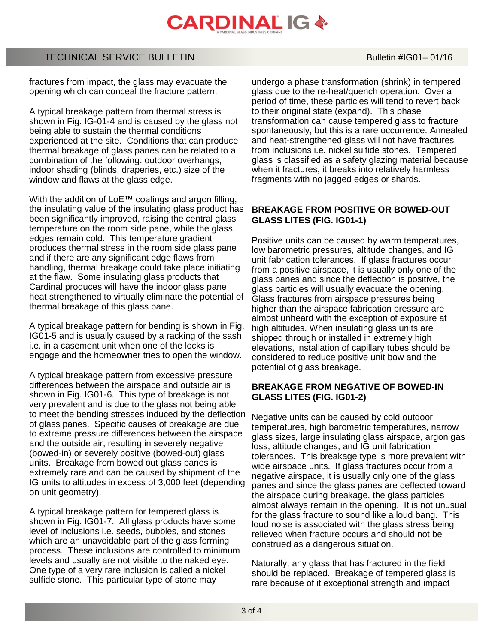

### TECHNICAL SERVICE BULLETIN Bulletin #IG01– 01/16

fractures from impact, the glass may evacuate the opening which can conceal the fracture pattern.

A typical breakage pattern from thermal stress is shown in Fig. IG-01-4 and is caused by the glass not being able to sustain the thermal conditions experienced at the site. Conditions that can produce thermal breakage of glass panes can be related to a combination of the following: outdoor overhangs, indoor shading (blinds, draperies, etc.) size of the window and flaws at the glass edge.

With the addition of LoE™ coatings and argon filling, the insulating value of the insulating glass product has been significantly improved, raising the central glass temperature on the room side pane, while the glass edges remain cold. This temperature gradient produces thermal stress in the room side glass pane and if there are any significant edge flaws from handling, thermal breakage could take place initiating at the flaw. Some insulating glass products that Cardinal produces will have the indoor glass pane heat strengthened to virtually eliminate the potential of thermal breakage of this glass pane.

A typical breakage pattern for bending is shown in Fig. IG01-5 and is usually caused by a racking of the sash i.e. in a casement unit when one of the locks is engage and the homeowner tries to open the window.

A typical breakage pattern from excessive pressure differences between the airspace and outside air is shown in Fig. IG01-6. This type of breakage is not very prevalent and is due to the glass not being able to meet the bending stresses induced by the deflection of glass panes. Specific causes of breakage are due to extreme pressure differences between the airspace and the outside air, resulting in severely negative (bowed-in) or severely positive (bowed-out) glass units. Breakage from bowed out glass panes is extremely rare and can be caused by shipment of the IG units to altitudes in excess of 3,000 feet (depending on unit geometry).

A typical breakage pattern for tempered glass is shown in Fig. IG01-7. All glass products have some level of inclusions i.e. seeds, bubbles, and stones which are an unavoidable part of the glass forming process. These inclusions are controlled to minimum levels and usually are not visible to the naked eye. One type of a very rare inclusion is called a nickel sulfide stone. This particular type of stone may

undergo a phase transformation (shrink) in tempered glass due to the re-heat/quench operation. Over a period of time, these particles will tend to revert back to their original state (expand). This phase transformation can cause tempered glass to fracture spontaneously, but this is a rare occurrence. Annealed and heat-strengthened glass will not have fractures from inclusions i.e. nickel sulfide stones. Tempered glass is classified as a safety glazing material because when it fractures, it breaks into relatively harmless fragments with no jagged edges or shards.

#### **BREAKAGE FROM POSITIVE OR BOWED-OUT GLASS LITES (FIG. IG01-1)**

Positive units can be caused by warm temperatures, low barometric pressures, altitude changes, and IG unit fabrication tolerances. If glass fractures occur from a positive airspace, it is usually only one of the glass panes and since the deflection is positive, the glass particles will usually evacuate the opening. Glass fractures from airspace pressures being higher than the airspace fabrication pressure are almost unheard with the exception of exposure at high altitudes. When insulating glass units are shipped through or installed in extremely high elevations, installation of capillary tubes should be considered to reduce positive unit bow and the potential of glass breakage.

#### **BREAKAGE FROM NEGATIVE OF BOWED-IN GLASS LITES (FIG. IG01-2)**

Negative units can be caused by cold outdoor temperatures, high barometric temperatures, narrow glass sizes, large insulating glass airspace, argon gas loss, altitude changes, and IG unit fabrication tolerances. This breakage type is more prevalent with wide airspace units. If glass fractures occur from a negative airspace, it is usually only one of the glass panes and since the glass panes are deflected toward the airspace during breakage, the glass particles almost always remain in the opening. It is not unusual for the glass fracture to sound like a loud bang. This loud noise is associated with the glass stress being relieved when fracture occurs and should not be construed as a dangerous situation.

Naturally, any glass that has fractured in the field should be replaced. Breakage of tempered glass is rare because of it exceptional strength and impact